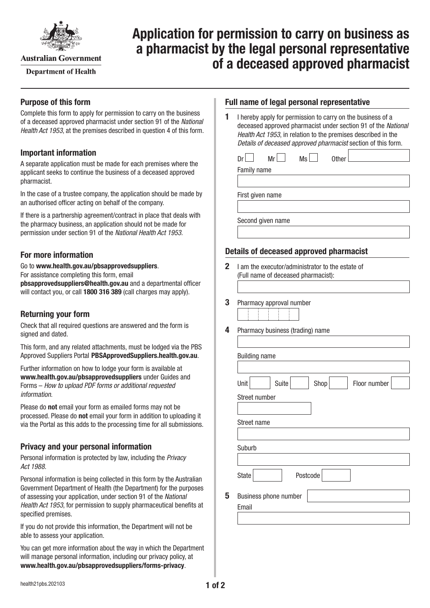

**Australian Government** 

**Department of Health** 

# **Application for permission to carry on business as a pharmacist by the legal personal representative of a deceased approved pharmacist**

# **Purpose of this form**

Complete this form to apply for permission to carry on the business of a deceased approved pharmacist under section 91 of the *National Health Act 1953*, at the premises described in question 4 of this form.

## **Important information**

A separate application must be made for each premises where the applicant seeks to continue the business of a deceased approved pharmacist.

In the case of a trustee company, the application should be made by an authorised officer acting on behalf of the company.

If there is a partnership agreement/contract in place that deals with the pharmacy business, an application should not be made for permission under section 91 of the *National Health Act 1953.*

# **For more information**

Go to **[www.health.gov.au/pbsapprovedsuppliers](http://www.health.gov.au/pbsapprovedsuppliers)**. For assistance completing this form, email **[pbsapprovedsuppliers@health.gov.au](mailto:pbsapprovedsuppliers@health.gov.au)** and a departmental officer will contact you, or call **1800 316 389** (call charges may apply).

# **Returning your form**

Check that all required questions are answered and the form is signed and dated.

This form, and any related attachments, must be lodged via the PBS Approved Suppliers Portal [PBSApprovedSuppliers.health.gov.au](http://PBSApprovedSuppliers.health.gov.au).

Further information on how to lodge your form is available at **[www.health.gov.au/pbsapprovedsuppliers](http://www.health.gov.au/pbsapprovedsuppliers)** under Guides and Forms – *How to upload PDF forms or additional requested information*.

Please do **not** email your form as emailed forms may not be processed. Please do **not** email your form in addition to uploading it via the Portal as this adds to the processing time for all submissions.

# **Privacy and your personal information**

Personal information is protected by law, including the *Privacy Act 1988.*

Personal information is being collected in this form by the Australian Government Department of Health (the Department) for the purposes of assessing your application, under section 91 of the *National Health Act 1953*, for permission to supply pharmaceutical benefits at specified premises.

If you do not provide this information, the Department will not be able to assess your application.

You can get more information about the way in which the Department will manage personal information, including our privacy policy, at **[www.health.gov.au/pbsapprovedsuppliers/forms-privacy](http://www.health.gov.au/pbsapprovedsuppliers/forms-privacy)**.

#### **Full name of legal personal representative**

**1** I hereby apply for permission to carry on the business of a deceased approved pharmacist under section 91 of the *National Health Act 1953*, in relation to the premises described in the *Details of deceased approved pharmacist* section of this form.

| Dr               | Mr <sub>l</sub>   | Ms | <b>Other</b> |  |  |  |  |  |
|------------------|-------------------|----|--------------|--|--|--|--|--|
| Family name      |                   |    |              |  |  |  |  |  |
|                  |                   |    |              |  |  |  |  |  |
| First given name |                   |    |              |  |  |  |  |  |
|                  |                   |    |              |  |  |  |  |  |
|                  | Second given name |    |              |  |  |  |  |  |
|                  |                   |    |              |  |  |  |  |  |
|                  |                   |    |              |  |  |  |  |  |

## **Details of deceased approved pharmacist**

- **2** I am the executor/administrator to the estate of (Full name of deceased pharmacist):
- **3** Pharmacy approval number
	-
- **4** Pharmacy business (trading) name

| Unit          | Suite                 | Shop     | Floor number |
|---------------|-----------------------|----------|--------------|
| Street number |                       |          |              |
| Street name   |                       |          |              |
|               |                       |          |              |
| Suburb        |                       |          |              |
|               |                       |          |              |
| <b>State</b>  |                       | Postcode |              |
|               | Business phone number |          |              |
| Email         |                       |          |              |